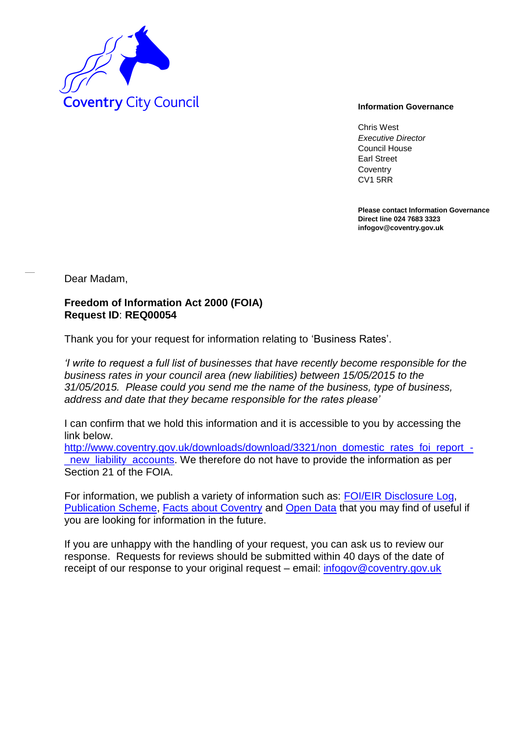

Chris West *Executive Director* Council House Earl Street **Coventry** CV1 5RR

**Please contact Information Governance Direct line 024 7683 3323 infogov@coventry.gov.uk** 

Dear Madam,

## **Freedom of Information Act 2000 (FOIA) Request ID**: **REQ00054**

Thank you for your request for information relating to 'Business Rates'.

*'I write to request a full list of businesses that have recently become responsible for the business rates in your council area (new liabilities) between 15/05/2015 to the 31/05/2015. Please could you send me the name of the business, type of business, address and date that they became responsible for the rates please'*

I can confirm that we hold this information and it is accessible to you by accessing the link below.

[http://www.coventry.gov.uk/downloads/download/3321/non\\_domestic\\_rates\\_foi\\_report\\_](http://www.coventry.gov.uk/downloads/download/3321/non_domestic_rates_foi_report_-_new_liability_accounts) new\_liability\_accounts. We therefore do not have to provide the information as per Section 21 of the FOIA.

For information, we publish a variety of information such as: [FOI/EIR Disclosure Log,](http://www.coventry.gov.uk/foieirrequests) [Publication Scheme,](http://www.coventry.gov.uk/publicationscheme) [Facts about Coventry](http://www.facts-about-coventry.com/) and [Open Data](http://www.coventry.gov.uk/opendata) that you may find of useful if you are looking for information in the future.

If you are unhappy with the handling of your request, you can ask us to review our response. Requests for reviews should be submitted within 40 days of the date of receipt of our response to your original request – email: [infogov@coventry.gov.uk](mailto:infogov@coventry.gov.uk)